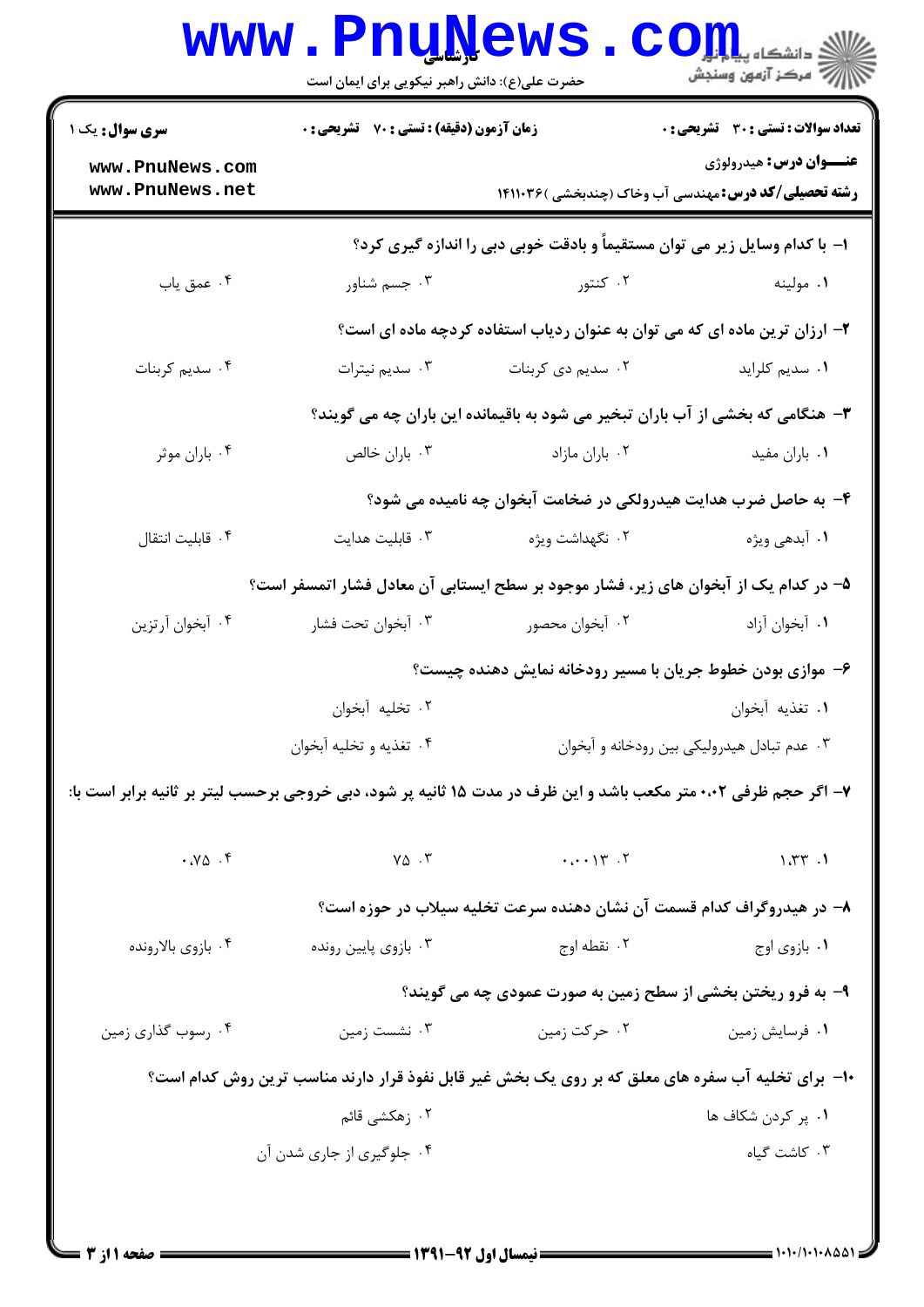|                                                                                                                  | <b>www.PnuNews</b>                                                         |                   | الله دانشکاه پیابانی<br>ایران استخانه پیابانی وسنجش                                                            |  |  |
|------------------------------------------------------------------------------------------------------------------|----------------------------------------------------------------------------|-------------------|----------------------------------------------------------------------------------------------------------------|--|--|
|                                                                                                                  | حضرت علی(ع): دانش راهبر نیکویی برای ایمان است                              |                   |                                                                                                                |  |  |
| <b>سری سوال :</b> یک ۱                                                                                           | زمان آزمون (دقیقه) : تستی : 70 گشریحی : 0                                  |                   | <b>تعداد سوالات : تستی : 30 ٪ تشریحی : 0</b>                                                                   |  |  |
| www.PnuNews.com<br>www.PnuNews.net                                                                               |                                                                            |                   | <b>عنـــوان درس:</b> هيدرولوژي<br><b>رشته تحصیلی/کد درس:</b> مهندسی آب وخاک (چندبخشی )۱۴۱۱۰۳۶                  |  |  |
|                                                                                                                  | ۱– با کدام وسایل زیر می توان مستقیماً و بادقت خوبی دبی را اندازه گیری کرد؟ |                   |                                                                                                                |  |  |
| ۰۴ عمق ياب                                                                                                       | ۰۳ جسم شناور                                                               | ۰۲ کنتور          | ۰۱ مولینه                                                                                                      |  |  |
|                                                                                                                  |                                                                            |                   | ۲- ارزان ترین ماده ای که می توان به عنوان ردیاب استفاده کردچه ماده ای است؟                                     |  |  |
| ۰۴ سدیم کربنات                                                                                                   | ۰۳ سديم نيترات                                                             | ۰۲ سدیم دی کربنات | ٠١ سديم كلرايد                                                                                                 |  |  |
|                                                                                                                  |                                                                            |                   | ۳- هنگامی که بخشی از آب باران تبخیر می شود به باقیمانده این باران چه می گویند؟                                 |  |  |
| ۰۴ باران موثر                                                                                                    | ۰۳ باران خالص                                                              | ٠٢ باران مازاد    | ٠١. باران مفيد                                                                                                 |  |  |
|                                                                                                                  |                                                                            |                   | ۴- به حاصل ضرب هدایت هیدرولکی در ضخامت آبخوان چه نامیده می شود؟                                                |  |  |
| ۰۴ قابلیت انتقال                                                                                                 | ٠٣ قابليت هدايت                                                            | ۰۲ نگهداشت ویژه   | ۰۱ آبدهی ویژه                                                                                                  |  |  |
|                                                                                                                  |                                                                            |                   | ۵– در کدام یک از آبخوان های زیر، فشار موجود بر سطح ایستابی آن معادل فشار اتمسفر است؟                           |  |  |
| ۰۴ آبخوان آرتزين                                                                                                 | ۰۳ آبخوان تحت فشار                                                         | ۰۲ آبخوان محصور   | ٠١ أبخوان أزاد                                                                                                 |  |  |
|                                                                                                                  | ۶– موازی بودن خطوط جریان با مسیر رودخانه نمایش دهنده چیست؟                 |                   |                                                                                                                |  |  |
|                                                                                                                  | ۰۲ تخلیه آبخوان                                                            |                   | 1. تغذيه آبخوان السلطاني المسلم المسلم المسلم المسلم المسلم المسلم المسلم المسلم المسلم المسلم المسلمات المسلم |  |  |
|                                                                                                                  | ۰۴ تغذيه و تخليه أبخوان                                                    |                   | ۰۳ عدم تبادل هیدرولیکی بین رودخانه و آبخوان                                                                    |  |  |
| ۷- اگر حجم ظرفی ۰،۰۲ متر مکعب باشد و این ظرف در مدت ۱۵ ثانیه پر شود، دبی خروجی برحسب لیتر بر ثانیه برابر است با: |                                                                            |                   |                                                                                                                |  |  |
| .70.9                                                                                                            | $Y\Delta$ .                                                                | $\cdots$          | 1.77.1                                                                                                         |  |  |
|                                                                                                                  |                                                                            |                   | ۸– در هیدروگراف کدام قسمت آن نشان دهنده سرعت تخلیه سیلاب در حوزه است؟                                          |  |  |
| ۰۴ بازوي بالارونده                                                                                               | ۰۳ بازوي پايين رونده                                                       | ۰۲ نقطه اوج       | ۰۱ بازوي اوج                                                                                                   |  |  |
|                                                                                                                  |                                                                            |                   | ۹- به فرو ریختن بخشی از سطح زمین به صورت عمودی چه می گویند؟                                                    |  |  |
| ۰۴ رسوب گذاري زمين                                                                                               | ۰۳ نشست زمین                                                               | ۰۲ حرکت زمین      | ٠١ فرسايش زمين                                                                                                 |  |  |
|                                                                                                                  |                                                                            |                   | ∙۱- برای تخلیه آب سفره های معلق که بر روی یک بخش غیر قابل نفوذ قرار دارند مناسب ترین روش کدام است؟             |  |  |
|                                                                                                                  | ۰۲ زهکشی قائم                                                              |                   | ۰۱ پر کردن شکاف ها                                                                                             |  |  |
|                                                                                                                  | ۰۴ جلوگیری از جاری شدن آن                                                  |                   | ۰۳ کاشت گیاه                                                                                                   |  |  |
|                                                                                                                  |                                                                            |                   |                                                                                                                |  |  |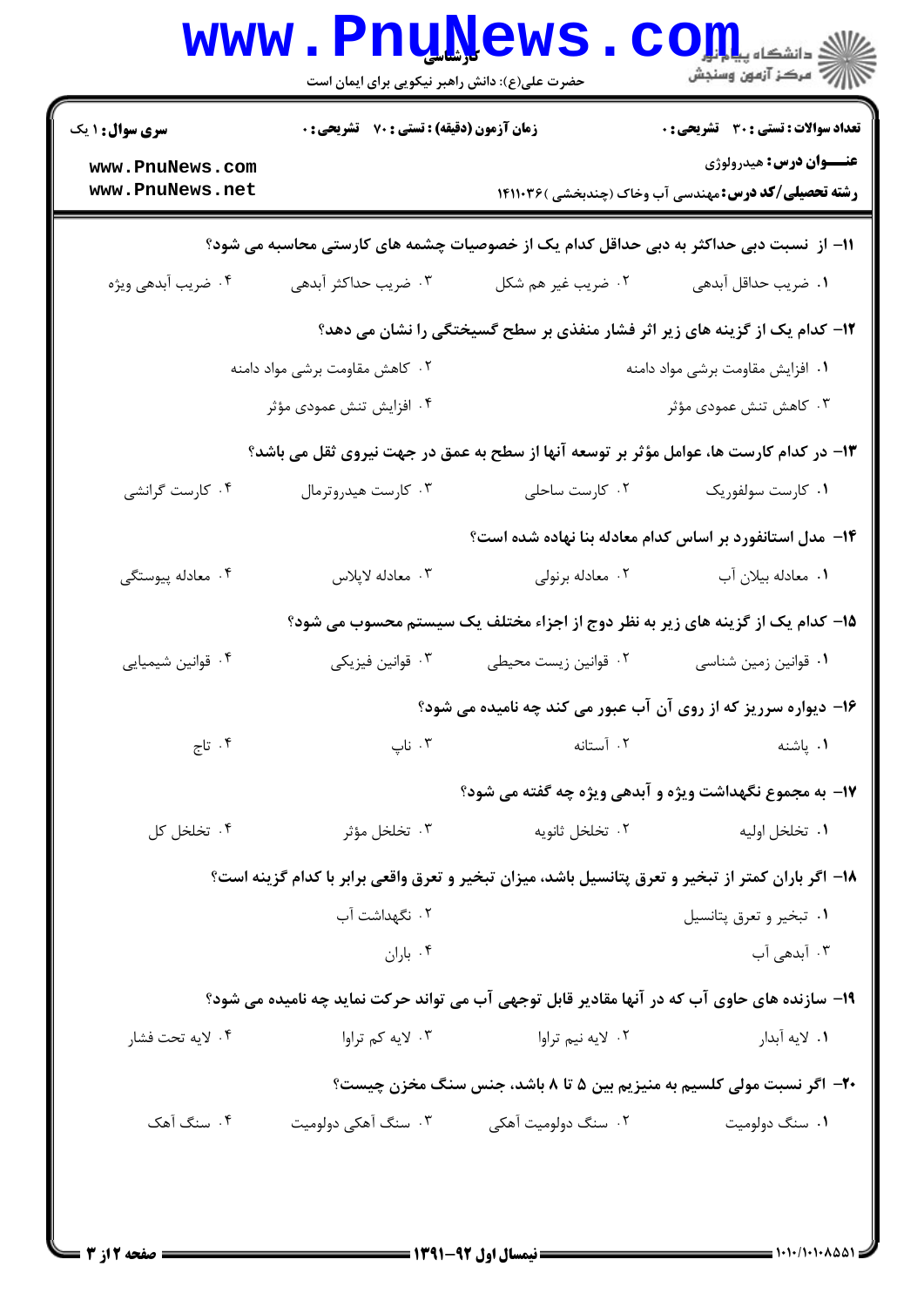| سری سوال: ۱ یک                                                                         | زمان آزمون (دقیقه) : تستی : 70 ٪ تشریحی : 0 |                                                                                                    | <b>تعداد سوالات : تستی : 30 - تشریحی : 0</b>                                                  |  |  |
|----------------------------------------------------------------------------------------|---------------------------------------------|----------------------------------------------------------------------------------------------------|-----------------------------------------------------------------------------------------------|--|--|
| www.PnuNews.com<br>www.PnuNews.net                                                     |                                             |                                                                                                    | <b>عنـــوان درس:</b> هیدرولوژی<br><b>رشته تحصیلی/کد درس:</b> مهندسی آب وخاک (چندبخشی )۱۴۱۱۰۳۶ |  |  |
| 1۱– از  نسبت دبی حداکثر به دبی حداقل کدام یک از خصوصیات چشمه های کارستی محاسبه می شود؟ |                                             |                                                                                                    |                                                                                               |  |  |
| ۰۴ ضریب آبدهی ویژه                                                                     | ۰۳ ضریب حداکثر آبدهی                        | ۰۲ ضریب غیر هم شکل                                                                                 | ٠١ ضريب حداقل آبدهي                                                                           |  |  |
|                                                                                        |                                             | ۱۲- کدام یک از گزینه های زیر اثر فشار منفذی بر سطح گسیختگی را نشان می دهد؟                         |                                                                                               |  |  |
|                                                                                        | ۰۲ کاهش مقاومت برشی مواد دامنه              | ٠١ افزايش مقاومت برشى مواد دامنه                                                                   |                                                                                               |  |  |
|                                                                                        | ۰۴ افزایش تنش عمودی مؤثر                    |                                                                                                    | ۰۳ کاهش تنش عمودی مؤثر                                                                        |  |  |
|                                                                                        |                                             | ۱۳- در کدام کارست ها، عوامل مؤثر بر توسعه آنها از سطح به عمق در جهت نیروی ثقل می باشد؟             |                                                                                               |  |  |
| ۰۴ کارست گرانشی                                                                        | ۰۳ کارست هیدروترمال                         | ۰۲ کارست ساحلی                                                                                     | ۰۱ کارست سولفوریک                                                                             |  |  |
|                                                                                        |                                             | ۱۴– مدل استانفورد بر اساس کدام معادله بنا نهاده شده است؟                                           |                                                                                               |  |  |
| ۰۴ معادله پیوستگی                                                                      | ۰۳ معادله لاپلاس                            | ۰۲ معادله برنولي                                                                                   | ٠١. معادله بيلان آب                                                                           |  |  |
|                                                                                        |                                             | ۱۵– کدام یک از گزینه های زیر به نظر دوج از اجزاء مختلف یک سیستم محسوب می شود؟                      |                                                                                               |  |  |
| ۰۴ قوانین شیمیایی                                                                      | ۰۳ قوانین فیزیکی                            | ۰۲ قوانین زیست محیطی                                                                               | ۰۱ قوانین زمین شناسی                                                                          |  |  |
|                                                                                        |                                             | ۱۶– دیواره سرریز که از روی آن آب عبور می کند چه نامیده می شود؟                                     |                                                                                               |  |  |
| ۰۴ تاج                                                                                 | ۰۳ ناپ                                      | ٠٢ آستانه                                                                                          | ٠١. پاشنه                                                                                     |  |  |
|                                                                                        |                                             | ۱۷- به مجموع نگهداشت ویژه و آبدهی ویژه چه گفته می شود؟                                             |                                                                                               |  |  |
| ۰۴ تخلخل کل                                                                            | ۰۳ تخلخل مؤثر                               | ۰۲ تخلخل ثانويه                                                                                    | ۰۱ تخلخل اوليه                                                                                |  |  |
|                                                                                        |                                             | ۱۸– اگر باران کمتر از تبخیر و تعرق پتانسیل باشد، میزان تبخیر و تعرق واقعی برابر با کدام گزینه است؟ |                                                                                               |  |  |
|                                                                                        | ۰۲ نگهداشت آب                               |                                                                                                    | ۰۱ تبخير و تعرق پتانسيل                                                                       |  |  |
|                                                                                        | ۰۴ باران                                    |                                                                                                    | ۰۳ آبدهی آب                                                                                   |  |  |
|                                                                                        |                                             | ۱۹- سازنده های حاوی آب که در آنها مقادیر قابل توجهی آب می تواند حرکت نماید چه نامیده می شود؟       |                                                                                               |  |  |
| ۰۴ لايه تحت فشار                                                                       | ۰۳ لایه کم تراوا                            | ۰۲ لايه نيم تراوا                                                                                  | ٠١. لايه أبدار                                                                                |  |  |
|                                                                                        |                                             | ۲۰- اگر نسبت مولی کلسیم به منیزیم بین ۵ تا ۸ باشد، جنس سنگ مخزن چیست؟                              |                                                                                               |  |  |
| ۰۴ سنگ آهک                                                                             | ۰۳ سنگ آهکی دولومیت                         | ۰۲ سنگ دولومیت آهکی                                                                                | ۰۱ سنگ دولومیت                                                                                |  |  |